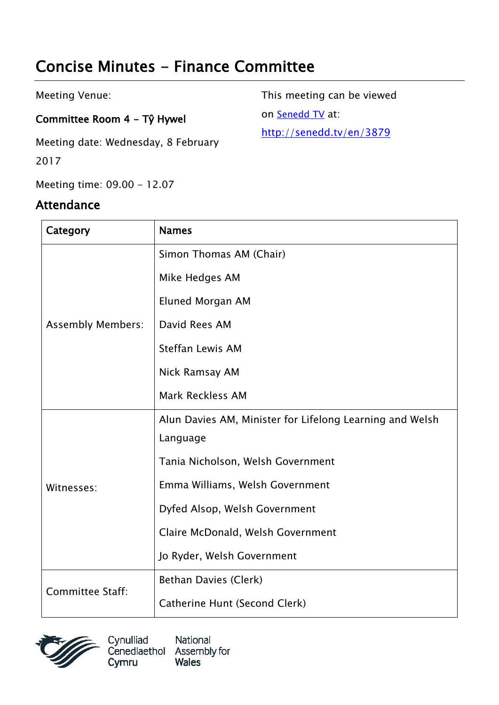# Concise Minutes - Finance Committee

Meeting Venue:

#### Committee Room 4 - Tŷ Hywel

Meeting date: Wednesday, 8 February 2017

Meeting time: 09.00 - 12.07

#### Attendance

This meeting can be viewed on [Senedd TV](http://senedd.tv/) at:

http://senedd.tv/en/3879

| Category                 | <b>Names</b>                                             |
|--------------------------|----------------------------------------------------------|
| <b>Assembly Members:</b> | Simon Thomas AM (Chair)                                  |
|                          | Mike Hedges AM                                           |
|                          | Eluned Morgan AM                                         |
|                          | David Rees AM                                            |
|                          | <b>Steffan Lewis AM</b>                                  |
|                          | Nick Ramsay AM                                           |
|                          | <b>Mark Reckless AM</b>                                  |
| Witnesses:               | Alun Davies AM, Minister for Lifelong Learning and Welsh |
|                          | Language                                                 |
|                          | Tania Nicholson, Welsh Government                        |
|                          | Emma Williams, Welsh Government                          |
|                          | Dyfed Alsop, Welsh Government                            |
|                          | Claire McDonald, Welsh Government                        |
|                          | Jo Ryder, Welsh Government                               |
| <b>Committee Staff:</b>  | Bethan Davies (Clerk)                                    |
|                          | Catherine Hunt (Second Clerk)                            |



National Cynulliad Cenedlaethol Assembly for **Wales** Cymru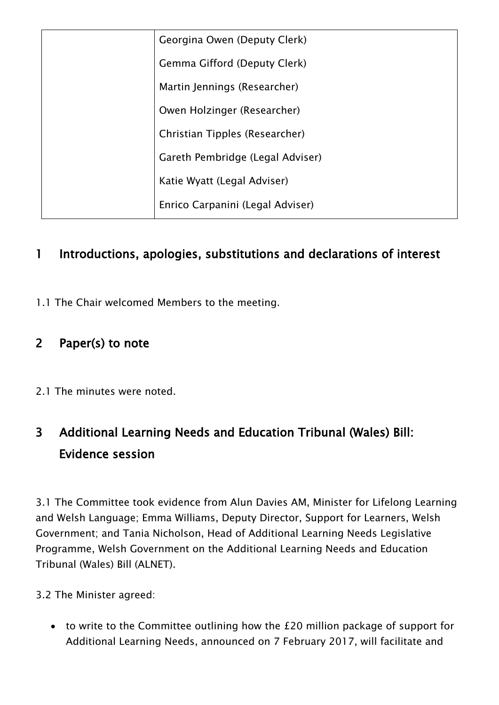| Georgina Owen (Deputy Clerk)     |
|----------------------------------|
| Gemma Gifford (Deputy Clerk)     |
| Martin Jennings (Researcher)     |
| Owen Holzinger (Researcher)      |
| Christian Tipples (Researcher)   |
| Gareth Pembridge (Legal Adviser) |
| Katie Wyatt (Legal Adviser)      |
| Enrico Carpanini (Legal Adviser) |

### 1 Introductions, apologies, substitutions and declarations of interest

1.1 The Chair welcomed Members to the meeting.

### 2 Paper(s) to note

2.1 The minutes were noted.

## 3 Additional Learning Needs and Education Tribunal (Wales) Bill: Evidence session

3.1 The Committee took evidence from Alun Davies AM, Minister for Lifelong Learning and Welsh Language; Emma Williams, Deputy Director, Support for Learners, Welsh Government; and Tania Nicholson, Head of Additional Learning Needs Legislative Programme, Welsh Government on the Additional Learning Needs and Education Tribunal (Wales) Bill (ALNET).

3.2 The Minister agreed:

 to write to the Committee outlining how the £20 million package of support for Additional Learning Needs, announced on 7 February 2017, will facilitate and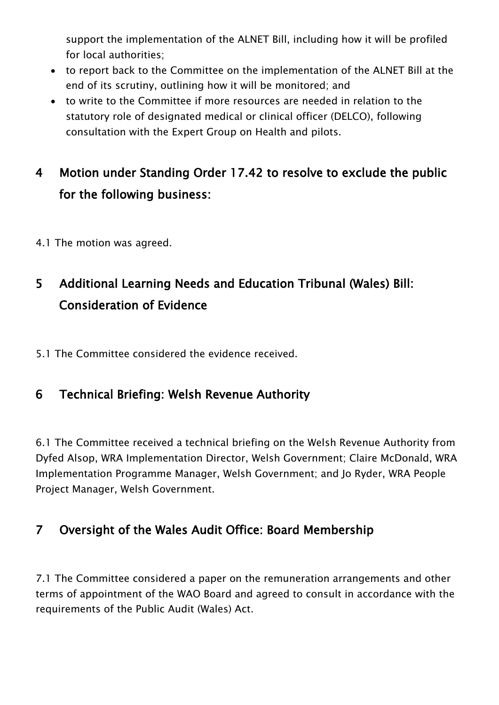support the implementation of the ALNET Bill, including how it will be profiled for local authorities;

- to report back to the Committee on the implementation of the ALNET Bill at the end of its scrutiny, outlining how it will be monitored; and
- to write to the Committee if more resources are needed in relation to the statutory role of designated medical or clinical officer (DELCO), following consultation with the Expert Group on Health and pilots.

## 4 Motion under Standing Order 17.42 to resolve to exclude the public for the following business:

4.1 The motion was agreed.

# 5 Additional Learning Needs and Education Tribunal (Wales) Bill: Consideration of Evidence

5.1 The Committee considered the evidence received.

### 6 Technical Briefing: Welsh Revenue Authority

6.1 The Committee received a technical briefing on the Welsh Revenue Authority from Dyfed Alsop, WRA Implementation Director, Welsh Government; Claire McDonald, WRA Implementation Programme Manager, Welsh Government; and Jo Ryder, WRA People Project Manager, Welsh Government.

#### 7 Oversight of the Wales Audit Office: Board Membership

7.1 The Committee considered a paper on the remuneration arrangements and other terms of appointment of the WAO Board and agreed to consult in accordance with the requirements of the Public Audit (Wales) Act.